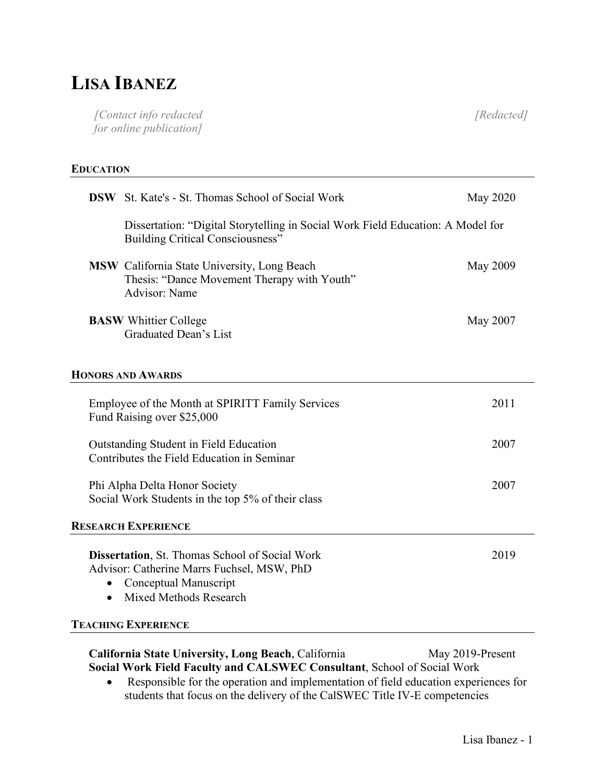# **LISA IBANEZ**

*[Contact info redacted for online publication] [Redacted]*

#### **EDUCATION**

| Dissertation: "Digital Storytelling in Social Work Field Education: A Model for<br><b>Building Critical Consciousness"</b>                                                 |      |
|----------------------------------------------------------------------------------------------------------------------------------------------------------------------------|------|
|                                                                                                                                                                            |      |
| <b>MSW</b> California State University, Long Beach<br><b>May 2009</b><br>Thesis: "Dance Movement Therapy with Youth"<br>Advisor: Name                                      |      |
| <b>BASW</b> Whittier College<br>May 2007<br>Graduated Dean's List                                                                                                          |      |
| <b>HONORS AND AWARDS</b>                                                                                                                                                   |      |
| Employee of the Month at SPIRITT Family Services<br>Fund Raising over \$25,000                                                                                             | 2011 |
| Outstanding Student in Field Education<br>Contributes the Field Education in Seminar                                                                                       | 2007 |
| Phi Alpha Delta Honor Society<br>Social Work Students in the top 5% of their class                                                                                         | 2007 |
| <b>RESEARCH EXPERIENCE</b>                                                                                                                                                 |      |
| <b>Dissertation, St. Thomas School of Social Work</b><br>Advisor: Catherine Marrs Fuchsel, MSW, PhD<br>Conceptual Manuscript<br><b>Mixed Methods Research</b><br>$\bullet$ | 2019 |
| <b>TEACHING EXPERIENCE</b>                                                                                                                                                 |      |

**California State University, Long Beach**, California May 2019-Present **Social Work Field Faculty and CALSWEC Consultant**, School of Social Work

• Responsible for the operation and implementation of field education experiences for students that focus on the delivery of the CalSWEC Title IV-E competencies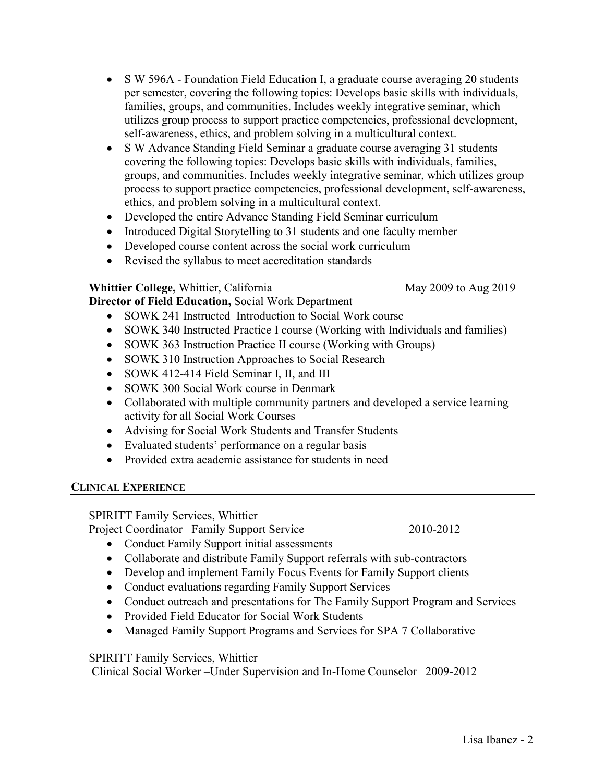- S W 596A Foundation Field Education I, a graduate course averaging 20 students per semester, covering the following topics: Develops basic skills with individuals, families, groups, and communities. Includes weekly integrative seminar, which utilizes group process to support practice competencies, professional development, self-awareness, ethics, and problem solving in a multicultural context.
- S W Advance Standing Field Seminar a graduate course averaging 31 students covering the following topics: Develops basic skills with individuals, families, groups, and communities. Includes weekly integrative seminar, which utilizes group process to support practice competencies, professional development, self-awareness, ethics, and problem solving in a multicultural context.
- Developed the entire Advance Standing Field Seminar curriculum
- Introduced Digital Storytelling to 31 students and one faculty member
- Developed course content across the social work curriculum
- Revised the syllabus to meet accreditation standards

### **Whittier College, Whittier, California** May 2009 to Aug 2019

**Director of Field Education,** Social Work Department

- SOWK 241 Instructed Introduction to Social Work course
- SOWK 340 Instructed Practice I course (Working with Individuals and families)
- SOWK 363 Instruction Practice II course (Working with Groups)
- SOWK 310 Instruction Approaches to Social Research
- SOWK 412-414 Field Seminar I, II, and III
- SOWK 300 Social Work course in Denmark
- Collaborated with multiple community partners and developed a service learning activity for all Social Work Courses
- Advising for Social Work Students and Transfer Students
- Evaluated students' performance on a regular basis
- Provided extra academic assistance for students in need

# **CLINICAL EXPERIENCE**

SPIRITT Family Services, Whittier

Project Coordinator –Family Support Service 2010-2012

- Conduct Family Support initial assessments
- Collaborate and distribute Family Support referrals with sub-contractors
- Develop and implement Family Focus Events for Family Support clients
- Conduct evaluations regarding Family Support Services
- Conduct outreach and presentations for The Family Support Program and Services
- Provided Field Educator for Social Work Students
- Managed Family Support Programs and Services for SPA 7 Collaborative

# SPIRITT Family Services, Whittier

Clinical Social Worker –Under Supervision and In-Home Counselor 2009-2012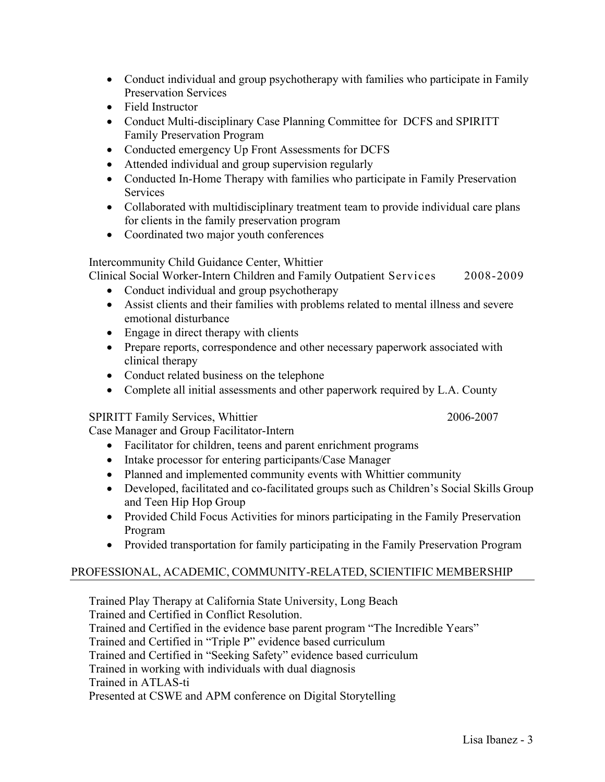- Conduct individual and group psychotherapy with families who participate in Family Preservation Services
- Field Instructor
- Conduct Multi-disciplinary Case Planning Committee for DCFS and SPIRITT Family Preservation Program
- Conducted emergency Up Front Assessments for DCFS
- Attended individual and group supervision regularly
- Conducted In-Home Therapy with families who participate in Family Preservation **Services**
- Collaborated with multidisciplinary treatment team to provide individual care plans for clients in the family preservation program
- Coordinated two major youth conferences

### Intercommunity Child Guidance Center, Whittier

Clinical Social Worker-Intern Children and Family Outpatient Services 2008-2009

- Conduct individual and group psychotherapy
- Assist clients and their families with problems related to mental illness and severe emotional disturbance
- Engage in direct therapy with clients
- Prepare reports, correspondence and other necessary paperwork associated with clinical therapy
- Conduct related business on the telephone
- Complete all initial assessments and other paperwork required by L.A. County

### SPIRITT Family Services, Whittier 2006-2007

Case Manager and Group Facilitator-Intern

- Facilitator for children, teens and parent enrichment programs
- Intake processor for entering participants/Case Manager
- Planned and implemented community events with Whittier community
- Developed, facilitated and co-facilitated groups such as Children's Social Skills Group and Teen Hip Hop Group
- Provided Child Focus Activities for minors participating in the Family Preservation Program
- Provided transportation for family participating in the Family Preservation Program

### PROFESSIONAL, ACADEMIC, COMMUNITY-RELATED, SCIENTIFIC MEMBERSHIP

Trained Play Therapy at California State University, Long Beach Trained and Certified in Conflict Resolution. Trained and Certified in the evidence base parent program "The Incredible Years" Trained and Certified in "Triple P" evidence based curriculum Trained and Certified in "Seeking Safety" evidence based curriculum Trained in working with individuals with dual diagnosis Trained in ATLAS-ti Presented at CSWE and APM conference on Digital Storytelling